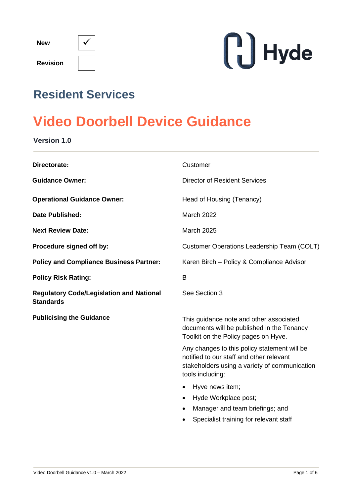| <b>New</b>      |  |
|-----------------|--|
| <b>Revision</b> |  |



# **Resident Services**

# **Video Doorbell Device Guidance**

**Version 1.0**

| Directorate:                                                        | Customer                                                                                                                                                                 |  |
|---------------------------------------------------------------------|--------------------------------------------------------------------------------------------------------------------------------------------------------------------------|--|
| <b>Guidance Owner:</b>                                              | <b>Director of Resident Services</b>                                                                                                                                     |  |
| <b>Operational Guidance Owner:</b>                                  | Head of Housing (Tenancy)                                                                                                                                                |  |
| <b>Date Published:</b>                                              | <b>March 2022</b>                                                                                                                                                        |  |
| <b>Next Review Date:</b>                                            | March 2025                                                                                                                                                               |  |
| Procedure signed off by:                                            | Customer Operations Leadership Team (COLT)                                                                                                                               |  |
| <b>Policy and Compliance Business Partner:</b>                      | Karen Birch - Policy & Compliance Advisor                                                                                                                                |  |
| <b>Policy Risk Rating:</b>                                          | B                                                                                                                                                                        |  |
| <b>Regulatory Code/Legislation and National</b><br><b>Standards</b> | See Section 3                                                                                                                                                            |  |
| <b>Publicising the Guidance</b>                                     | This guidance note and other associated<br>documents will be published in the Tenancy<br>Toolkit on the Policy pages on Hyve.                                            |  |
|                                                                     | Any changes to this policy statement will be<br>notified to our staff and other relevant<br>stakeholders using a variety of communication<br>tools including:            |  |
|                                                                     | Hyve news item;<br>$\bullet$<br>Hyde Workplace post;<br>$\bullet$<br>Manager and team briefings; and<br>$\bullet$<br>Specialist training for relevant staff<br>$\bullet$ |  |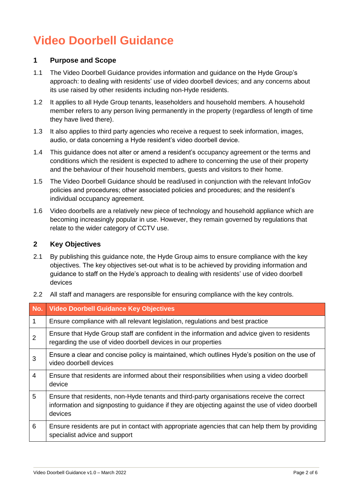# **Video Doorbell Guidance**

#### **1 Purpose and Scope**

- 1.1 The Video Doorbell Guidance provides information and guidance on the Hyde Group's approach: to dealing with residents' use of video doorbell devices; and any concerns about its use raised by other residents including non-Hyde residents.
- 1.2 It applies to all Hyde Group tenants, leaseholders and household members. A household member refers to any person living permanently in the property (regardless of length of time they have lived there).
- 1.3 It also applies to third party agencies who receive a request to seek information, images, audio, or data concerning a Hyde resident's video doorbell device.
- 1.4 This guidance does not alter or amend a resident's occupancy agreement or the terms and conditions which the resident is expected to adhere to concerning the use of their property and the behaviour of their household members, guests and visitors to their home.
- 1.5 The Video Doorbell Guidance should be read/used in conjunction with the relevant InfoGov policies and procedures; other associated policies and procedures; and the resident's individual occupancy agreement.
- 1.6 Video doorbells are a relatively new piece of technology and household appliance which are becoming increasingly popular in use. However, they remain governed by regulations that relate to the wider category of CCTV use.

#### **2 Key Objectives**

2.1 By publishing this guidance note, the Hyde Group aims to ensure compliance with the key objectives. The key objectives set-out what is to be achieved by providing information and guidance to staff on the Hyde's approach to dealing with residents' use of video doorbell devices

| No.            | <b>Video Doorbell Guidance Key Objectives</b>                                                                                                                                                           |  |  |
|----------------|---------------------------------------------------------------------------------------------------------------------------------------------------------------------------------------------------------|--|--|
| 1              | Ensure compliance with all relevant legislation, regulations and best practice                                                                                                                          |  |  |
| $\overline{2}$ | Ensure that Hyde Group staff are confident in the information and advice given to residents<br>regarding the use of video doorbell devices in our properties                                            |  |  |
| 3              | Ensure a clear and concise policy is maintained, which outlines Hyde's position on the use of<br>video doorbell devices                                                                                 |  |  |
| $\overline{4}$ | Ensure that residents are informed about their responsibilities when using a video doorbell<br>device                                                                                                   |  |  |
| 5              | Ensure that residents, non-Hyde tenants and third-party organisations receive the correct<br>information and signposting to guidance if they are objecting against the use of video doorbell<br>devices |  |  |
| 6              | Ensure residents are put in contact with appropriate agencies that can help them by providing<br>specialist advice and support                                                                          |  |  |

2.2 All staff and managers are responsible for ensuring compliance with the key controls.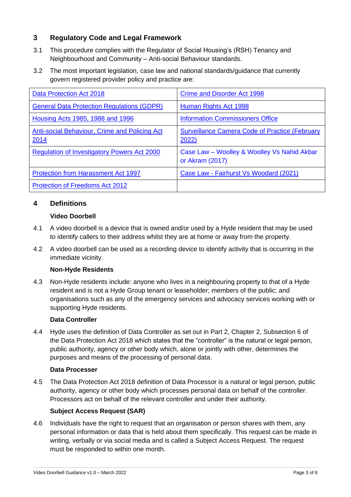### **3 Regulatory Code and Legal Framework**

- 3.1 This procedure complies with the Regulator of Social Housing's (RSH) Tenancy and Neighbourhood and Community – Anti-social Behaviour standards.
- 3.2 The most important legislation, case law and national standards/guidance that currently govern registered provider policy and practice are:

| Data Protection Act 2018                              | <b>Crime and Disorder Act 1998</b>                             |
|-------------------------------------------------------|----------------------------------------------------------------|
| <b>General Data Protection Regulations (GDPR)</b>     | Human Rights Act 1998                                          |
| Housing Acts 1985, 1988 and 1996                      | <b>Information Commissioners Office</b>                        |
| Anti-social Behaviour, Crime and Policing Act<br>2014 | <b>Surveillance Camera Code of Practice (February</b><br>2022) |
| <b>Regulation of Investigatory Powers Act 2000</b>    | Case Law - Woolley & Woolley Vs Nahid Akbar<br>or Akram (2017) |
| <b>Protection from Harassment Act 1997</b>            | Case Law - Fairhurst Vs Woodard (2021)                         |
| <b>Protection of Freedoms Act 2012</b>                |                                                                |

## **4 Definitions**

#### **Video Doorbell**

- 4.1 A video doorbell is a device that is owned and/or used by a Hyde resident that may be used to identify callers to their address whilst they are at home or away from the property.
- 4.2 A video doorbell can be used as a recording device to identify activity that is occurring in the immediate vicinity.

#### **Non-Hyde Residents**

4.3 Non-Hyde residents include: anyone who lives in a neighbouring property to that of a Hyde resident and is not a Hyde Group tenant or leaseholder; members of the public; and organisations such as any of the emergency services and advocacy services working with or supporting Hyde residents.

#### **Data Controller**

4.4 Hyde uses the definition of Data Controller as set out in Part 2, Chapter 2, Subsection 6 of the Data Protection Act 2018 which states that the "controller" is the natural or legal person, public authority, agency or other body which, alone or jointly with other, determines the purposes and means of the processing of personal data.

#### **Data Processer**

4.5 The Data Protection Act 2018 definition of Data Processor is a natural or legal person, public authority, agency or other body which processes personal data on behalf of the controller. Processors act on behalf of the relevant controller and under their authority.

#### **Subject Access Request (SAR)**

4.6 Individuals have the right to request that an organisation or person shares with them, any personal information or data that is held about them specifically. This request can be made in writing, verbally or via social media and is called a Subject Access Request. The request must be responded to within one month.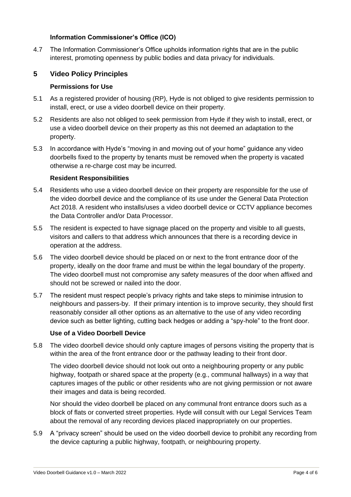#### **Information Commissioner's Office (ICO)**

4.7 The Information Commissioner's Office upholds information rights that are in the public interest, promoting openness by public bodies and data privacy for individuals.

#### **5 Video Policy Principles**

#### **Permissions for Use**

- 5.1 As a registered provider of housing (RP), Hyde is not obliged to give residents permission to install, erect, or use a video doorbell device on their property.
- 5.2 Residents are also not obliged to seek permission from Hyde if they wish to install, erect, or use a video doorbell device on their property as this not deemed an adaptation to the property.
- 5.3 In accordance with Hyde's "moving in and moving out of your home" guidance any video doorbells fixed to the property by tenants must be removed when the property is vacated otherwise a re-charge cost may be incurred.

#### **Resident Responsibilities**

- 5.4 Residents who use a video doorbell device on their property are responsible for the use of the video doorbell device and the compliance of its use under the General Data Protection Act 2018. A resident who installs/uses a video doorbell device or CCTV appliance becomes the Data Controller and/or Data Processor.
- 5.5 The resident is expected to have signage placed on the property and visible to all guests, visitors and callers to that address which announces that there is a recording device in operation at the address.
- 5.6 The video doorbell device should be placed on or next to the front entrance door of the property, ideally on the door frame and must be within the legal boundary of the property. The video doorbell must not compromise any safety measures of the door when affixed and should not be screwed or nailed into the door.
- 5.7 The resident must respect people's privacy rights and take steps to minimise intrusion to neighbours and passers-by. If their primary intention is to improve security, they should first reasonably consider all other options as an alternative to the use of any video recording device such as better lighting, cutting back hedges or adding a "spy-hole" to the front door.

#### **Use of a Video Doorbell Device**

5.8 The video doorbell device should only capture images of persons visiting the property that is within the area of the front entrance door or the pathway leading to their front door.

The video doorbell device should not look out onto a neighbouring property or any public highway, footpath or shared space at the property (e.g., communal hallways) in a way that captures images of the public or other residents who are not giving permission or not aware their images and data is being recorded.

Nor should the video doorbell be placed on any communal front entrance doors such as a block of flats or converted street properties. Hyde will consult with our Legal Services Team about the removal of any recording devices placed inappropriately on our properties.

5.9 A "privacy screen" should be used on the video doorbell device to prohibit any recording from the device capturing a public highway, footpath, or neighbouring property.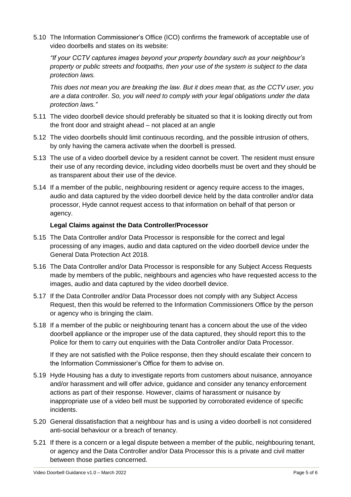5.10 The Information Commissioner's Office (ICO) confirms the framework of acceptable use of video doorbells and states on its website:

*"If your CCTV captures images beyond your property boundary such as your neighbour's property or public streets and footpaths, then your use of the system is subject to the data protection laws.*

*This does not mean you are breaking the law. But it does mean that, as the CCTV user, you are a data controller. So, you will need to comply with your legal obligations under the data protection laws."*

- 5.11 The video doorbell device should preferably be situated so that it is looking directly out from the front door and straight ahead – not placed at an angle
- 5.12 The video doorbells should limit continuous recording, and the possible intrusion of others, by only having the camera activate when the doorbell is pressed.
- 5.13 The use of a video doorbell device by a resident cannot be covert. The resident must ensure their use of any recording device, including video doorbells must be overt and they should be as transparent about their use of the device.
- 5.14 If a member of the public, neighbouring resident or agency require access to the images, audio and data captured by the video doorbell device held by the data controller and/or data processor, Hyde cannot request access to that information on behalf of that person or agency.

#### **Legal Claims against the Data Controller/Processor**

- 5.15 The Data Controller and/or Data Processor is responsible for the correct and legal processing of any images, audio and data captured on the video doorbell device under the General Data Protection Act 2018.
- 5.16 The Data Controller and/or Data Processor is responsible for any Subject Access Requests made by members of the public, neighbours and agencies who have requested access to the images, audio and data captured by the video doorbell device.
- 5.17 If the Data Controller and/or Data Processor does not comply with any Subject Access Request, then this would be referred to the Information Commissioners Office by the person or agency who is bringing the claim.
- 5.18 If a member of the public or neighbouring tenant has a concern about the use of the video doorbell appliance or the improper use of the data captured, they should report this to the Police for them to carry out enquiries with the Data Controller and/or Data Processor.

If they are not satisfied with the Police response, then they should escalate their concern to the Information Commissioner's Office for them to advise on.

- 5.19 Hyde Housing has a duty to investigate reports from customers about nuisance, annoyance and/or harassment and will offer advice, guidance and consider any tenancy enforcement actions as part of their response. However, claims of harassment or nuisance by inappropriate use of a video bell must be supported by corroborated evidence of specific incidents.
- 5.20 General dissatisfaction that a neighbour has and is using a video doorbell is not considered anti-social behaviour or a breach of tenancy.
- 5.21 If there is a concern or a legal dispute between a member of the public, neighbouring tenant, or agency and the Data Controller and/or Data Processor this is a private and civil matter between those parties concerned.